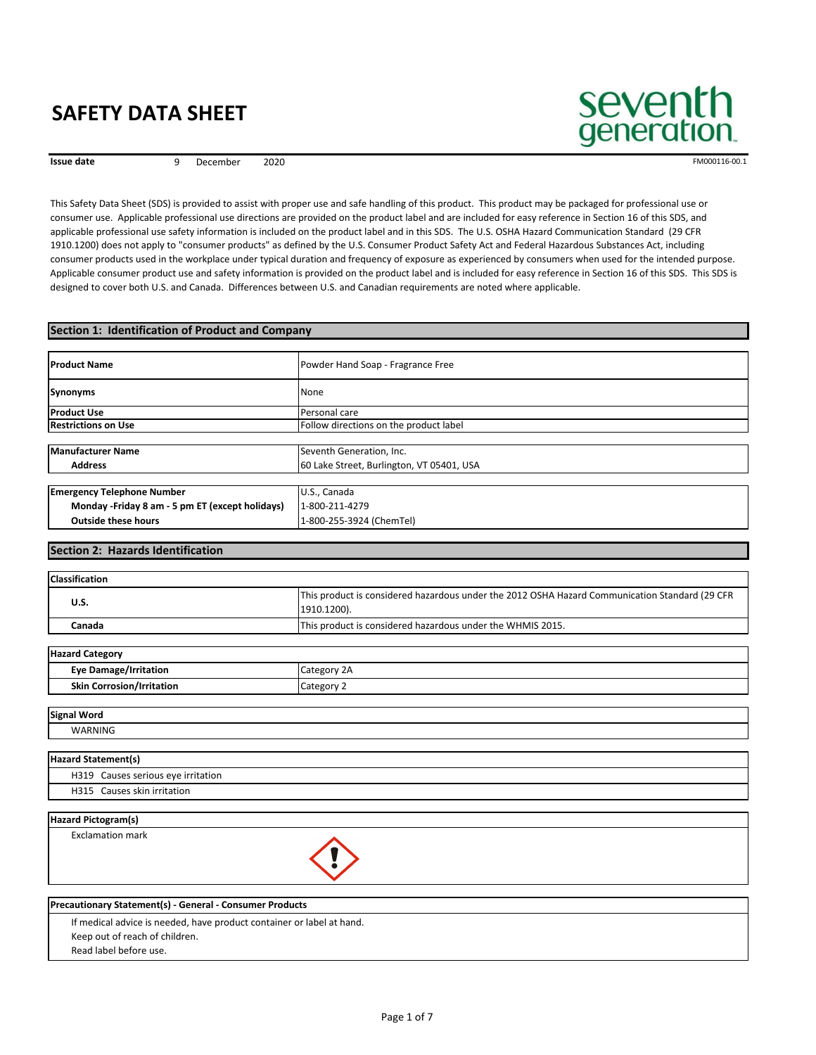**Issue date 1888 PM000116-00.1 PM000116-00.1 PM000116-00.1 FM000116-00.1** 

seventh generation

 This Safety Data Sheet (SDS) is provided to assist with proper use and safe handling of this product. This product may be packaged for professional use or consumer use. Applicable professional use directions are provided on the product label and are included for easy reference in Section 16 of this SDS, and applicable professional use safety information is included on the product label and in this SDS. The U.S. OSHA Hazard Communication Standard (29 CFR 1910.1200) does not apply to "consumer products" as defined by the U.S. Consumer Product Safety Act and Federal Hazardous Substances Act, including consumer products used in the workplace under typical duration and frequency of exposure as experienced by consumers when used for the intended purpose. Applicable consumer product use and safety information is provided on the product label and is included for easy reference in Section 16 of this SDS. This SDS is designed to cover both U.S. and Canada. Differences between U.S. and Canadian requirements are noted where applicable.

#### **Outside these hours Monday ‐Friday 8 am ‐ 5 pm ET (except holidays)** 1‐800‐211‐4279 **Emergency Telephone Number Letter Controller and Australian U.S., Canada Address** 60 Lake Street, Burlington, VT 05401, USA **Manufacturer Name Name** Seventh Generation, Inc. **Restrictions on Use Exercise 2 Constructs** Follow directions on the product label **Product Name** Powder Hand Soap ‐ Fragrance Free  **Section 1: Identification of Product and Company Synonyms** None **Product Use** Personal care **Outside these hours** 1‐800‐255‐3924 (ChemTel)

#### **Section 2: Hazards Identification**

| <b>Classification</b> |                                                                                                               |
|-----------------------|---------------------------------------------------------------------------------------------------------------|
| U.S.                  | This product is considered hazardous under the 2012 OSHA Hazard Communication Standard (29 CFR<br>1910.1200). |
| Canada                | This product is considered hazardous under the WHMIS 2015.                                                    |

| <b>Hazard Category</b> |
|------------------------|

| Indraid Calegory                    |                  |
|-------------------------------------|------------------|
| <b>Irritation</b><br>Eve<br>Damage  | $\sim$<br>`egorv |
| Skin<br>Corrosion/Irritation<br>. . | $5 + 0.55$       |

| <b>Signal Word</b>                 |  |
|------------------------------------|--|
| WARNING                            |  |
|                                    |  |
| <b>Hazard Statement(s)</b>         |  |
| H319 Causes serious eye irritation |  |
| H315 Causes skin irritation        |  |

#### **Hazard Pictogram(s)**

Exclamation mark



#### **Precautionary Statement(s) ‐ General ‐ Consumer Products**

 If medical advice is needed, have product container or label at hand. Keep out of reach of children.

Read label before use.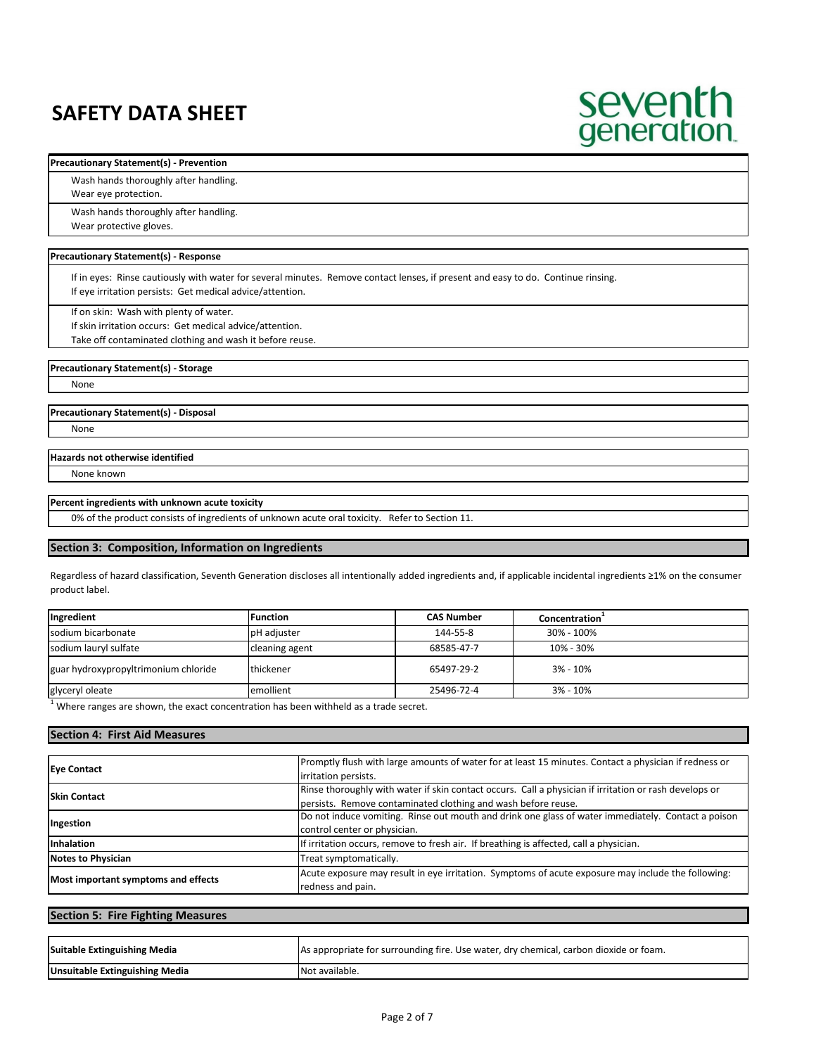## seventh

#### **Precautionary Statement(s) ‐ Prevention**

Wash hands thoroughly after handling.

Wear eye protection.

Wash hands thoroughly after handling.

Wear protective gloves.

#### **Precautionary Statement(s) ‐ Response**

 If in eyes: Rinse cautiously with water for several minutes. Remove contact lenses, if present and easy to do. Continue rinsing. If eye irritation persists: Get medical advice/attention.

If on skin: Wash with plenty of water.

If skin irritation occurs: Get medical advice/attention.

Take off contaminated clothing and wash it before reuse.

#### **Precautionary Statement(s) ‐ Storage**

None

**Precautionary Statement(s) ‐ Disposal**

None

#### **Hazards not otherwise identified**

None known

#### **Percent ingredients with unknown acute toxicity**

0% of the product consists of ingredients of unknown acute oral toxicity. Refer to Section 11.

#### **Section 3: Composition, Information on Ingredients**

 Regardless of hazard classification, Seventh Generation discloses all intentionally added ingredients and, if applicable incidental ingredients ≥1% on the consumer product label.

| Ingredient                           | <b>Function</b> | <b>CAS Number</b> | Concentration <sup>+</sup> |
|--------------------------------------|-----------------|-------------------|----------------------------|
| sodium bicarbonate                   | pH adjuster     | 144-55-8          | 30% - 100%                 |
| sodium lauryl sulfate                | cleaning agent  | 68585-47-7        | 10% - 30%                  |
| guar hydroxypropyltrimonium chloride | thickener       | 65497-29-2        | $3\% - 10\%$               |
| glyceryl oleate                      | emollient       | 25496-72-4        | $3% - 10%$                 |

 $<sup>1</sup>$  Where ranges are shown, the exact concentration has been withheld as a trade secret.</sup>

#### **Section 4: First Aid Measures**

| <b>Eve Contact</b>                  | Promptly flush with large amounts of water for at least 15 minutes. Contact a physician if redness or  |
|-------------------------------------|--------------------------------------------------------------------------------------------------------|
|                                     | irritation persists.                                                                                   |
| <b>Skin Contact</b>                 | Rinse thoroughly with water if skin contact occurs. Call a physician if irritation or rash develops or |
|                                     | persists. Remove contaminated clothing and wash before reuse.                                          |
| Ingestion                           | Do not induce vomiting. Rinse out mouth and drink one glass of water immediately. Contact a poison     |
|                                     | control center or physician.                                                                           |
| <b>Inhalation</b>                   | If irritation occurs, remove to fresh air. If breathing is affected, call a physician.                 |
| <b>Notes to Physician</b>           | Treat symptomatically.                                                                                 |
| Most important symptoms and effects | Acute exposure may result in eye irritation. Symptoms of acute exposure may include the following:     |
|                                     | redness and pain.                                                                                      |

#### **Section 5: Fire Fighting Measures**

| Suitable Extinguishing Media          | As appropriate for surrounding fire. Use water, dry chemical, carbon dioxide or foam. |
|---------------------------------------|---------------------------------------------------------------------------------------|
| <b>Unsuitable Extinguishing Media</b> | Not available.                                                                        |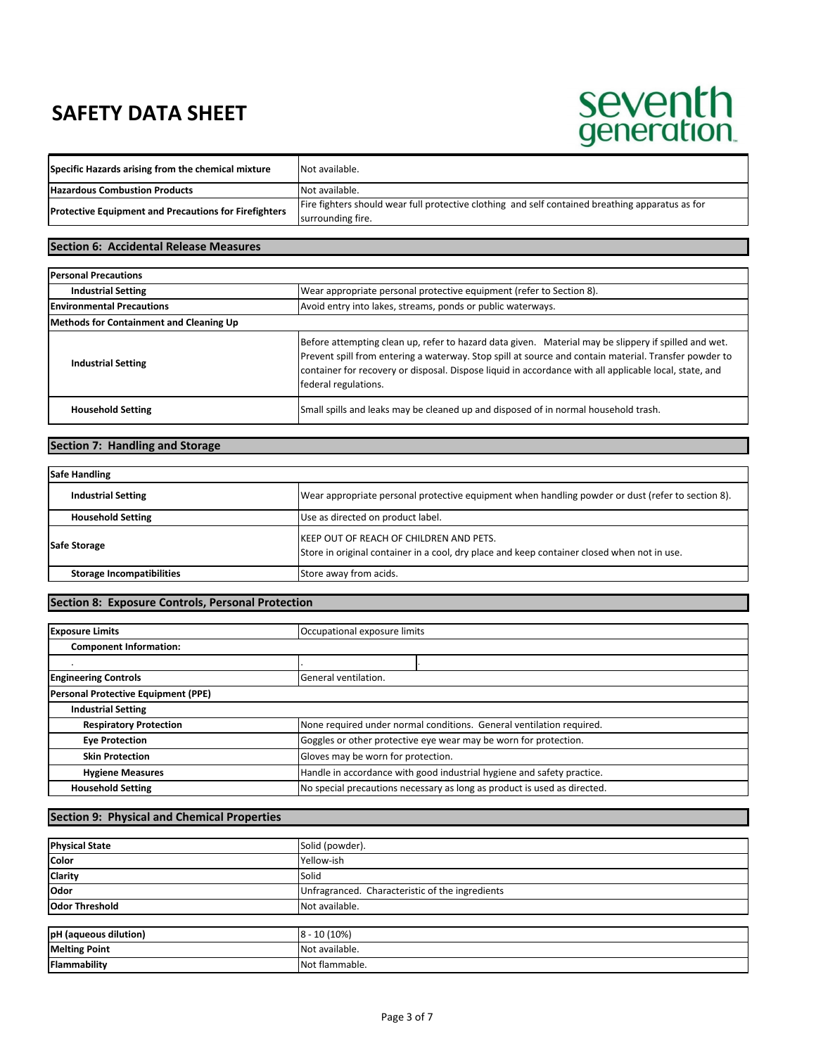# seventh<br>generation.

| Specific Hazards arising from the chemical mixture           | Not available.                                                                                   |
|--------------------------------------------------------------|--------------------------------------------------------------------------------------------------|
| <b>Hazardous Combustion Products</b>                         | Not available.                                                                                   |
| <b>Protective Equipment and Precautions for Firefighters</b> | Fire fighters should wear full protective clothing and self contained breathing apparatus as for |
|                                                              | surrounding fire.                                                                                |

#### **Section 6: Accidental Release Measures**

| <b>Personal Precautions</b>             |                                                                                                                                                                                                                                                                                                                                                 |  |
|-----------------------------------------|-------------------------------------------------------------------------------------------------------------------------------------------------------------------------------------------------------------------------------------------------------------------------------------------------------------------------------------------------|--|
| <b>Industrial Setting</b>               | Wear appropriate personal protective equipment (refer to Section 8).                                                                                                                                                                                                                                                                            |  |
| <b>Environmental Precautions</b>        | Avoid entry into lakes, streams, ponds or public waterways.                                                                                                                                                                                                                                                                                     |  |
| Methods for Containment and Cleaning Up |                                                                                                                                                                                                                                                                                                                                                 |  |
| <b>Industrial Setting</b>               | Before attempting clean up, refer to hazard data given. Material may be slippery if spilled and wet.<br>Prevent spill from entering a waterway. Stop spill at source and contain material. Transfer powder to<br>container for recovery or disposal. Dispose liquid in accordance with all applicable local, state, and<br>federal regulations. |  |
| <b>Household Setting</b>                | Small spills and leaks may be cleaned up and disposed of in normal household trash.                                                                                                                                                                                                                                                             |  |

#### **Section 7: Handling and Storage**

| <b>Safe Handling</b>             |                                                                                                                                                |
|----------------------------------|------------------------------------------------------------------------------------------------------------------------------------------------|
| <b>Industrial Setting</b>        | Wear appropriate personal protective equipment when handling powder or dust (refer to section 8).                                              |
| <b>Household Setting</b>         | Use as directed on product label.                                                                                                              |
| <b>Safe Storage</b>              | <b>IKEEP OUT OF REACH OF CHILDREN AND PETS.</b><br>Store in original container in a cool, dry place and keep container closed when not in use. |
| <b>Storage Incompatibilities</b> | Store away from acids.                                                                                                                         |

#### **Section 8: Exposure Controls, Personal Protection**

| <b>Exposure Limits</b>              | Occupational exposure limits                                             |  |
|-------------------------------------|--------------------------------------------------------------------------|--|
| <b>Component Information:</b>       |                                                                          |  |
|                                     |                                                                          |  |
| <b>Engineering Controls</b>         | General ventilation.                                                     |  |
| Personal Protective Equipment (PPE) |                                                                          |  |
| <b>Industrial Setting</b>           |                                                                          |  |
| <b>Respiratory Protection</b>       | None required under normal conditions. General ventilation required.     |  |
| <b>Eye Protection</b>               | Goggles or other protective eye wear may be worn for protection.         |  |
| <b>Skin Protection</b>              | Gloves may be worn for protection.                                       |  |
| <b>Hygiene Measures</b>             | Handle in accordance with good industrial hygiene and safety practice.   |  |
| <b>Household Setting</b>            | No special precautions necessary as long as product is used as directed. |  |

#### **Section 9: Physical and Chemical Properties**

| <b>Physical State</b> | Solid (powder).                                 |
|-----------------------|-------------------------------------------------|
| <b>Color</b>          | Yellow-ish                                      |
| Clarity               | Solid                                           |
| <b>Odor</b>           | Unfragranced. Characteristic of the ingredients |
| <b>Odor Threshold</b> | Not available.                                  |
|                       |                                                 |
| pH (aqueous dilution) | $8 - 10(10\%)$                                  |
| <b>Melting Point</b>  | Not available.                                  |
| Flammability          | Not flammable.                                  |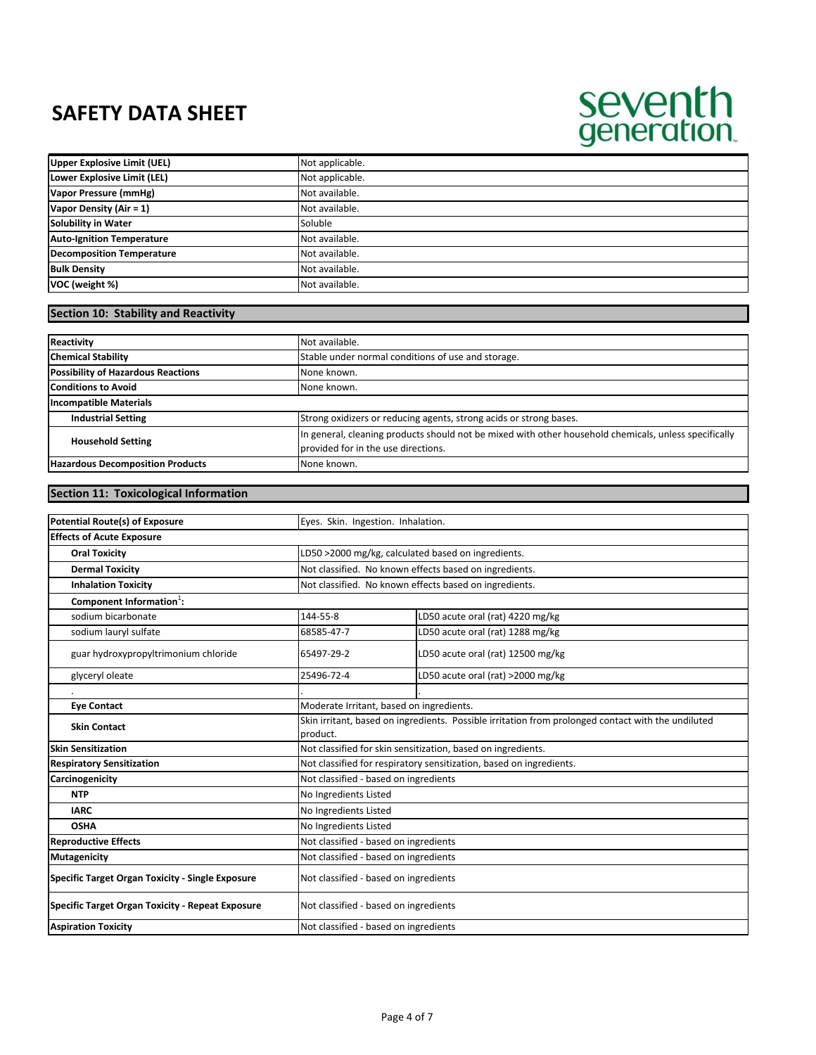# seventh<br>generation.

| Upper Explosive Limit (UEL)      | Not applicable. |
|----------------------------------|-----------------|
| Lower Explosive Limit (LEL)      | Not applicable. |
| Vapor Pressure (mmHg)            | Not available.  |
| Vapor Density (Air = 1)          | Not available.  |
| <b>Solubility in Water</b>       | Soluble         |
| <b>Auto-Ignition Temperature</b> | Not available.  |
| <b>Decomposition Temperature</b> | Not available.  |
| <b>Bulk Density</b>              | Not available.  |
| VOC (weight %)                   | Not available.  |

#### **Section 10: Stability and Reactivity**

| Reactivity                                | Not available.                                                                                                                               |  |
|-------------------------------------------|----------------------------------------------------------------------------------------------------------------------------------------------|--|
| <b>Chemical Stability</b>                 | Stable under normal conditions of use and storage.                                                                                           |  |
| <b>Possibility of Hazardous Reactions</b> | None known.                                                                                                                                  |  |
| <b>Conditions to Avoid</b>                | None known.                                                                                                                                  |  |
| <b>Incompatible Materials</b>             |                                                                                                                                              |  |
| <b>Industrial Setting</b>                 | Strong oxidizers or reducing agents, strong acids or strong bases.                                                                           |  |
| <b>Household Setting</b>                  | In general, cleaning products should not be mixed with other household chemicals, unless specifically<br>provided for in the use directions. |  |
| <b>Hazardous Decomposition Products</b>   | None known.                                                                                                                                  |  |

#### **Section 11: Toxicological Information**

| <b>Potential Route(s) of Exposure</b>                   | Eyes. Skin. Ingestion. Inhalation.                                                                 |                                                        |  |
|---------------------------------------------------------|----------------------------------------------------------------------------------------------------|--------------------------------------------------------|--|
| <b>Effects of Acute Exposure</b>                        |                                                                                                    |                                                        |  |
| <b>Oral Toxicity</b>                                    | LD50 >2000 mg/kg, calculated based on ingredients.                                                 |                                                        |  |
| <b>Dermal Toxicity</b>                                  |                                                                                                    | Not classified. No known effects based on ingredients. |  |
| <b>Inhalation Toxicity</b>                              |                                                                                                    | Not classified. No known effects based on ingredients. |  |
| Component Information <sup>1</sup> :                    |                                                                                                    |                                                        |  |
| sodium bicarbonate                                      | 144-55-8                                                                                           | LD50 acute oral (rat) 4220 mg/kg                       |  |
| sodium lauryl sulfate                                   | 68585-47-7                                                                                         | LD50 acute oral (rat) 1288 mg/kg                       |  |
| guar hydroxypropyltrimonium chloride                    | LD50 acute oral (rat) 12500 mg/kg<br>65497-29-2                                                    |                                                        |  |
| glyceryl oleate                                         | 25496-72-4                                                                                         | LD50 acute oral (rat) >2000 mg/kg                      |  |
|                                                         |                                                                                                    |                                                        |  |
| <b>Eye Contact</b>                                      | Moderate Irritant, based on ingredients.                                                           |                                                        |  |
| <b>Skin Contact</b>                                     | Skin irritant, based on ingredients. Possible irritation from prolonged contact with the undiluted |                                                        |  |
|                                                         | product.                                                                                           |                                                        |  |
| <b>Skin Sensitization</b>                               | Not classified for skin sensitization, based on ingredients.                                       |                                                        |  |
| <b>Respiratory Sensitization</b>                        | Not classified for respiratory sensitization, based on ingredients.                                |                                                        |  |
| Carcinogenicity                                         | Not classified - based on ingredients                                                              |                                                        |  |
| <b>NTP</b>                                              | No Ingredients Listed                                                                              |                                                        |  |
| <b>IARC</b>                                             | No Ingredients Listed                                                                              |                                                        |  |
| <b>OSHA</b>                                             | No Ingredients Listed                                                                              |                                                        |  |
| <b>Reproductive Effects</b>                             | Not classified - based on ingredients                                                              |                                                        |  |
| <b>Mutagenicity</b>                                     | Not classified - based on ingredients                                                              |                                                        |  |
| <b>Specific Target Organ Toxicity - Single Exposure</b> | Not classified - based on ingredients                                                              |                                                        |  |
| Specific Target Organ Toxicity - Repeat Exposure        | Not classified - based on ingredients                                                              |                                                        |  |
| <b>Aspiration Toxicity</b>                              | Not classified - based on ingredients                                                              |                                                        |  |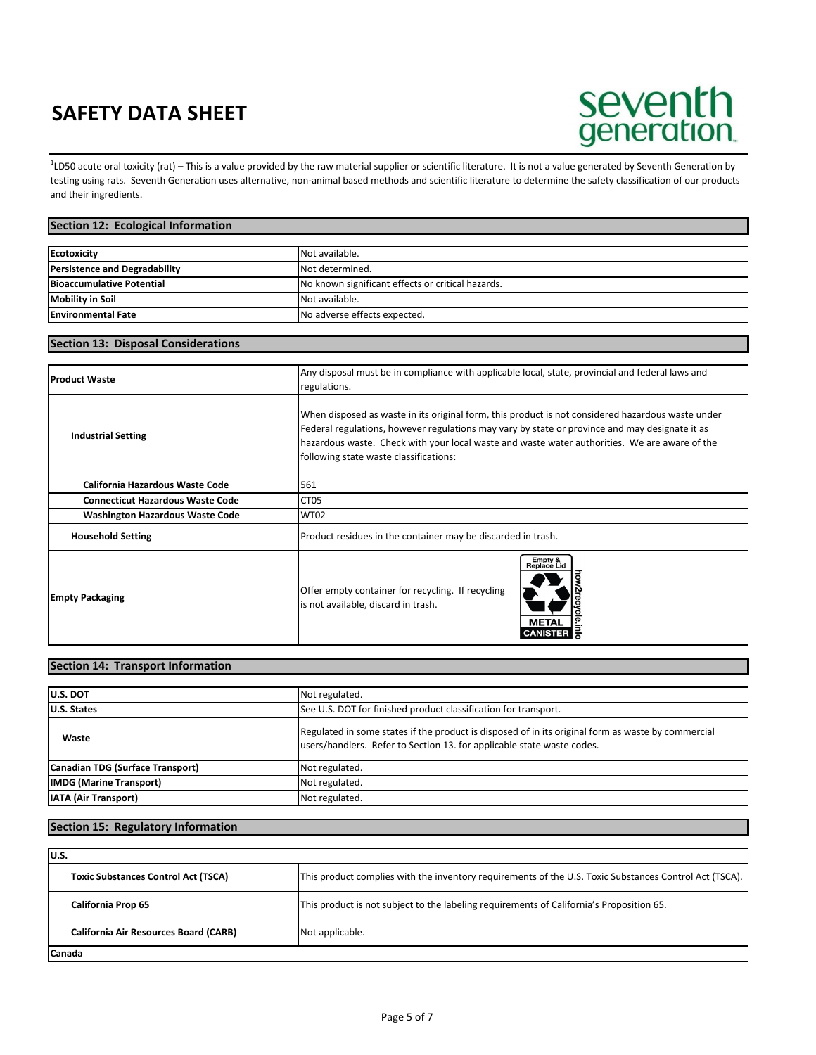## seventh<br>generation

<sup>1</sup>LD50 acute oral toxicity (rat) – This is a value provided by the raw material supplier or scientific literature. It is not a value generated by Seventh Generation by testing using rats. Seventh Generation uses alternative, non‐animal based methods and scientific literature to determine the safety classification of our products and their ingredients.

#### **Section 12: Ecological Information**

| <b>Ecotoxicity</b><br>Not available. |                                                   |
|--------------------------------------|---------------------------------------------------|
| <b>Persistence and Degradability</b> | Not determined.                                   |
| <b>Bioaccumulative Potential</b>     | No known significant effects or critical hazards. |
| <b>Mobility in Soil</b>              | Not available.                                    |
| <b>Environmental Fate</b>            | No adverse effects expected.                      |

#### **Section 13: Disposal Considerations**

| <b>Product Waste</b>                    | Any disposal must be in compliance with applicable local, state, provincial and federal laws and<br>regulations.                                                                                                                                                                                                                               |  |
|-----------------------------------------|------------------------------------------------------------------------------------------------------------------------------------------------------------------------------------------------------------------------------------------------------------------------------------------------------------------------------------------------|--|
| <b>Industrial Setting</b>               | When disposed as waste in its original form, this product is not considered hazardous waste under<br>Federal regulations, however regulations may vary by state or province and may designate it as<br>hazardous waste. Check with your local waste and waste water authorities. We are aware of the<br>following state waste classifications: |  |
| <b>California Hazardous Waste Code</b>  | 561                                                                                                                                                                                                                                                                                                                                            |  |
| <b>Connecticut Hazardous Waste Code</b> | CT05                                                                                                                                                                                                                                                                                                                                           |  |
| <b>Washington Hazardous Waste Code</b>  | <b>WT02</b>                                                                                                                                                                                                                                                                                                                                    |  |
| <b>Household Setting</b>                | Product residues in the container may be discarded in trash.                                                                                                                                                                                                                                                                                   |  |
| <b>Empty Packaging</b>                  | Empty &<br>Replace Lid<br>Offer empty container for recycling. If recycling<br>is not available, discard in trash.<br>œ<br><b>META</b><br><b>CANIS</b>                                                                                                                                                                                         |  |

#### **Section 14: Transport Information**

| U.S. DOT                         | Not regulated.                                                                                                                                                               |
|----------------------------------|------------------------------------------------------------------------------------------------------------------------------------------------------------------------------|
| <b>U.S. States</b>               | See U.S. DOT for finished product classification for transport.                                                                                                              |
| Waste                            | Regulated in some states if the product is disposed of in its original form as waste by commercial<br>users/handlers. Refer to Section 13. for applicable state waste codes. |
| Canadian TDG (Surface Transport) | Not regulated.                                                                                                                                                               |
| <b>IMDG</b> (Marine Transport)   | Not regulated.                                                                                                                                                               |
| <b>IATA (Air Transport)</b>      | Not regulated.                                                                                                                                                               |

#### **Section 15: Regulatory Information**

| lu.s.                                        |                                                                                                        |  |  |
|----------------------------------------------|--------------------------------------------------------------------------------------------------------|--|--|
| <b>Toxic Substances Control Act (TSCA)</b>   | This product complies with the inventory requirements of the U.S. Toxic Substances Control Act (TSCA). |  |  |
| <b>California Prop 65</b>                    | This product is not subject to the labeling requirements of California's Proposition 65.               |  |  |
| <b>California Air Resources Board (CARB)</b> | Not applicable.                                                                                        |  |  |
| Canada                                       |                                                                                                        |  |  |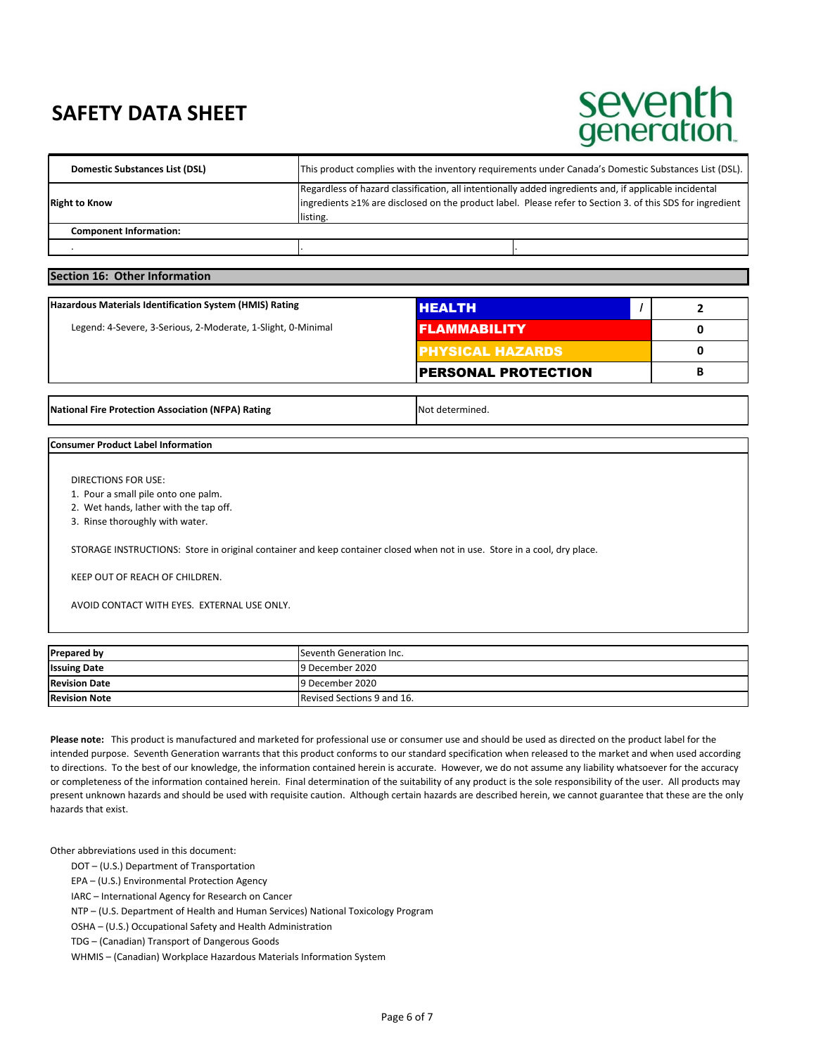## seventh generation.

| <b>Domestic Substances List (DSL)</b> | This product complies with the inventory requirements under Canada's Domestic Substances List (DSL).                                                                                                                             |  |  |
|---------------------------------------|----------------------------------------------------------------------------------------------------------------------------------------------------------------------------------------------------------------------------------|--|--|
| <b>Right to Know</b>                  | Regardless of hazard classification, all intentionally added ingredients and, if applicable incidental<br>lingredients ≥1% are disclosed on the product label. Please refer to Section 3. of this SDS for ingredient<br>listing. |  |  |
| <b>Component Information:</b>         |                                                                                                                                                                                                                                  |  |  |
|                                       |                                                                                                                                                                                                                                  |  |  |

#### **Section 16: Other Information**

| Hazardous Materials Identification System (HMIS) Rating      | <b>IHEALTH</b>             |  |  |
|--------------------------------------------------------------|----------------------------|--|--|
| Legend: 4-Severe, 3-Serious, 2-Moderate, 1-Slight, 0-Minimal | <b>I FLAMMABILITY</b>      |  |  |
|                                                              | <b>PHYSICAL HAZARDS</b>    |  |  |
|                                                              | <b>PERSONAL PROTECTION</b> |  |  |

**National Fire Protection Association (NFPA) Rating Noting Not determined.** 

#### **Consumer Product Label Information**

DIRECTIONS FOR USE:

1. Pour a small pile onto one palm.

2. Wet hands, lather with the tap off.

3. Rinse thoroughly with water.

STORAGE INSTRUCTIONS: Store in original container and keep container closed when not in use. Store in a cool, dry place.

KEEP OUT OF REACH OF CHILDREN.

AVOID CONTACT WITH EYES. EXTERNAL USE ONLY.

| <b>Prepared by</b>   | Seventh Generation Inc.    |
|----------------------|----------------------------|
| <b>Issuing Date</b>  | 9 December 2020            |
| <b>Revision Date</b> | 9 December 2020            |
| <b>Revision Note</b> | Revised Sections 9 and 16. |

Please note: This product is manufactured and marketed for professional use or consumer use and should be used as directed on the product label for the intended purpose. Seventh Generation warrants that this product conforms to our standard specification when released to the market and when used according to directions. To the best of our knowledge, the information contained herein is accurate. However, we do not assume any liability whatsoever for the accuracy or completeness of the information contained herein. Final determination of the suitability of any product is the sole responsibility of the user. All products may present unknown hazards and should be used with requisite caution. Although certain hazards are described herein, we cannot guarantee that these are the only hazards that exist.

Other abbreviations used in this document:

DOT – (U.S.) Department of Transportation

EPA – (U.S.) Environmental Protection Agency

IARC – International Agency for Research on Cancer

NTP – (U.S. Department of Health and Human Services) National Toxicology Program

OSHA – (U.S.) Occupational Safety and Health Administration

TDG – (Canadian) Transport of Dangerous Goods

WHMIS - (Canadian) Workplace Hazardous Materials Information System